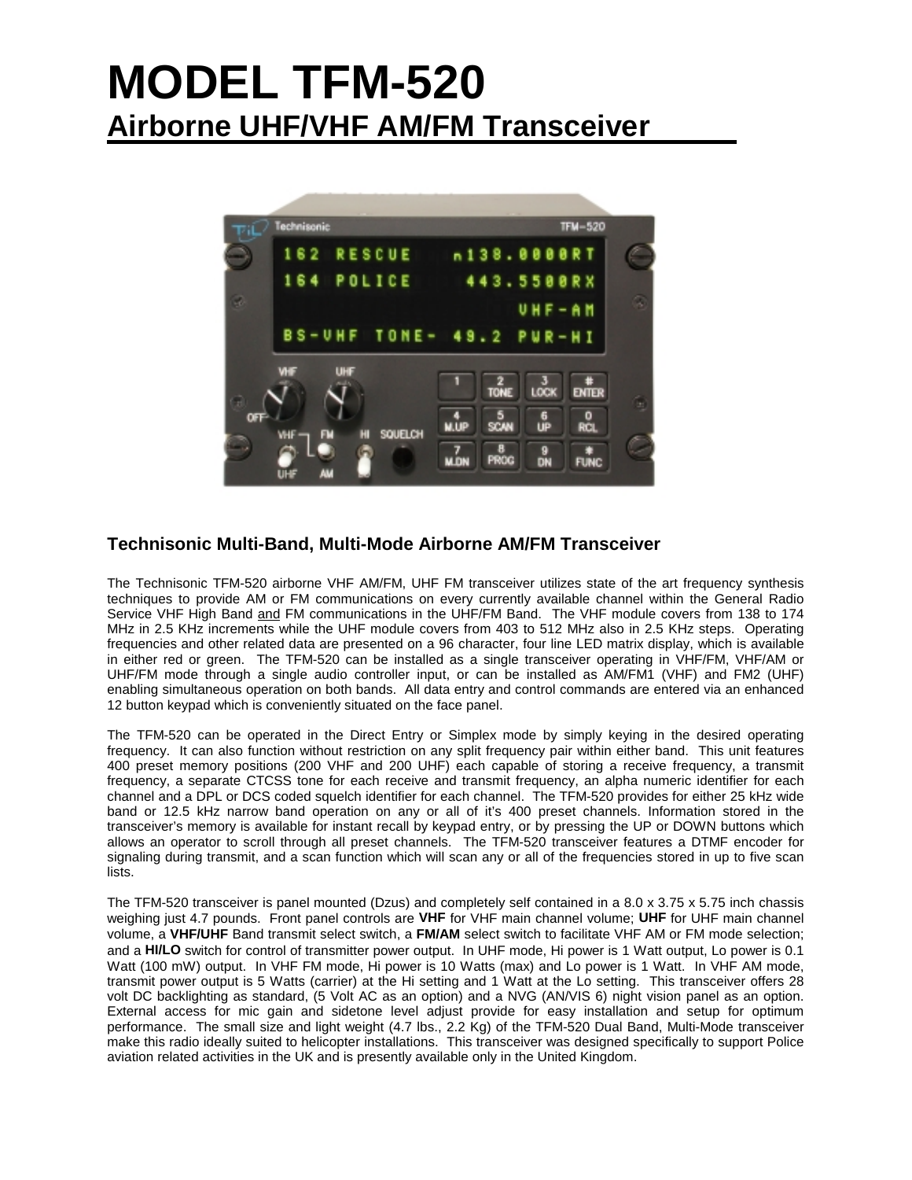# **MODEL TFM-520 Airborne UHF/VHF AM/FM Transceiver**



### **Technisonic Multi-Band, Multi-Mode Airborne AM/FM Transceiver**

The Technisonic TFM-520 airborne VHF AM/FM, UHF FM transceiver utilizes state of the art frequency synthesis techniques to provide AM or FM communications on every currently available channel within the General Radio Service VHF High Band and FM communications in the UHF/FM Band. The VHF module covers from 138 to 174 MHz in 2.5 KHz increments while the UHF module covers from 403 to 512 MHz also in 2.5 KHz steps. Operating frequencies and other related data are presented on a 96 character, four line LED matrix display, which is available in either red or green. The TFM-520 can be installed as a single transceiver operating in VHF/FM, VHF/AM or UHF/FM mode through a single audio controller input, or can be installed as AM/FM1 (VHF) and FM2 (UHF) enabling simultaneous operation on both bands. All data entry and control commands are entered via an enhanced 12 button keypad which is conveniently situated on the face panel.

The TFM-520 can be operated in the Direct Entry or Simplex mode by simply keying in the desired operating frequency. It can also function without restriction on any split frequency pair within either band. This unit features 400 preset memory positions (200 VHF and 200 UHF) each capable of storing a receive frequency, a transmit frequency, a separate CTCSS tone for each receive and transmit frequency, an alpha numeric identifier for each channel and a DPL or DCS coded squelch identifier for each channel. The TFM-520 provides for either 25 kHz wide band or 12.5 kHz narrow band operation on any or all of it's 400 preset channels. Information stored in the transceiver's memory is available for instant recall by keypad entry, or by pressing the UP or DOWN buttons which allows an operator to scroll through all preset channels. The TFM-520 transceiver features a DTMF encoder for signaling during transmit, and a scan function which will scan any or all of the frequencies stored in up to five scan lists.

The TFM-520 transceiver is panel mounted (Dzus) and completely self contained in a 8.0 x 3.75 x 5.75 inch chassis weighing just 4.7 pounds. Front panel controls are **VHF** for VHF main channel volume; **UHF** for UHF main channel volume, a **VHF/UHF** Band transmit select switch, a **FM/AM** select switch to facilitate VHF AM or FM mode selection; and a **HI/LO** switch for control of transmitter power output. In UHF mode, Hi power is 1 Watt output, Lo power is 0.1 Watt (100 mW) output. In VHF FM mode, Hi power is 10 Watts (max) and Lo power is 1 Watt. In VHF AM mode, transmit power output is 5 Watts (carrier) at the Hi setting and 1 Watt at the Lo setting. This transceiver offers 28 volt DC backlighting as standard, (5 Volt AC as an option) and a NVG (AN/VIS 6) night vision panel as an option. External access for mic gain and sidetone level adjust provide for easy installation and setup for optimum performance. The small size and light weight (4.7 lbs., 2.2 Kg) of the TFM-520 Dual Band, Multi-Mode transceiver make this radio ideally suited to helicopter installations. This transceiver was designed specifically to support Police aviation related activities in the UK and is presently available only in the United Kingdom.